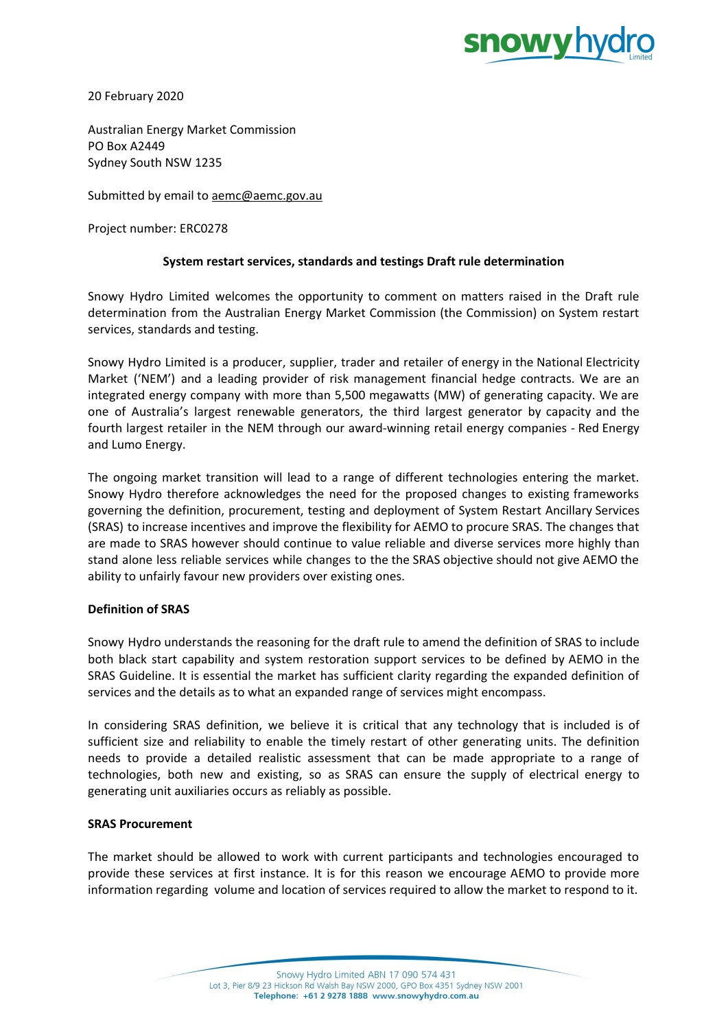

20 February 2020

Australian Energy Market Commission PO Box A2449 Sydney South NSW 1235

Submitted by email to [aemc@aemc.gov.au](mailto:aemc@aemc.gov.au)

Project number: ERC0278

# **System restart services, standards and testings Draft rule determination**

Snowy Hydro Limited welcomes the opportunity to comment on matters raised in the Draft rule determination from the Australian Energy Market Commission (the Commission) on System restart services, standards and testing.

Snowy Hydro Limited is a producer, supplier, trader and retailer of energy in the National Electricity Market ('NEM') and a leading provider of risk management financial hedge contracts. We are an integrated energy company with more than 5,500 megawatts (MW) of generating capacity. We are one of Australia's largest renewable generators, the third largest generator by capacity and the fourth largest retailer in the NEM through our award-winning retail energy companies - Red Energy and Lumo Energy.

The ongoing market transition will lead to a range of different technologies entering the market. Snowy Hydro therefore acknowledges the need for the proposed changes to existing frameworks governing the definition, procurement, testing and deployment of System Restart Ancillary Services (SRAS) to increase incentives and improve the flexibility for AEMO to procure SRAS. The changes that are made to SRAS however should continue to value reliable and diverse services more highly than stand alone less reliable services while changes to the the SRAS objective should not give AEMO the ability to unfairly favour new providers over existing ones.

# **Definition of SRAS**

Snowy Hydro understands the reasoning for the draft rule to amend the definition of SRAS to include both black start capability and system restoration support services to be defined by AEMO in the SRAS Guideline. It is essential the market has sufficient clarity regarding the expanded definition of services and the details as to what an expanded range of services might encompass.

In considering SRAS definition, we believe it is critical that any technology that is included is of sufficient size and reliability to enable the timely restart of other generating units. The definition needs to provide a detailed realistic assessment that can be made appropriate to a range of technologies, both new and existing, so as SRAS can ensure the supply of electrical energy to generating unit auxiliaries occurs as reliably as possible.

### **SRAS Procurement**

The market should be allowed to work with current participants and technologies encouraged to provide these services at first instance. It is for this reason we encourage AEMO to provide more information regarding volume and location of services required to allow the market to respond to it.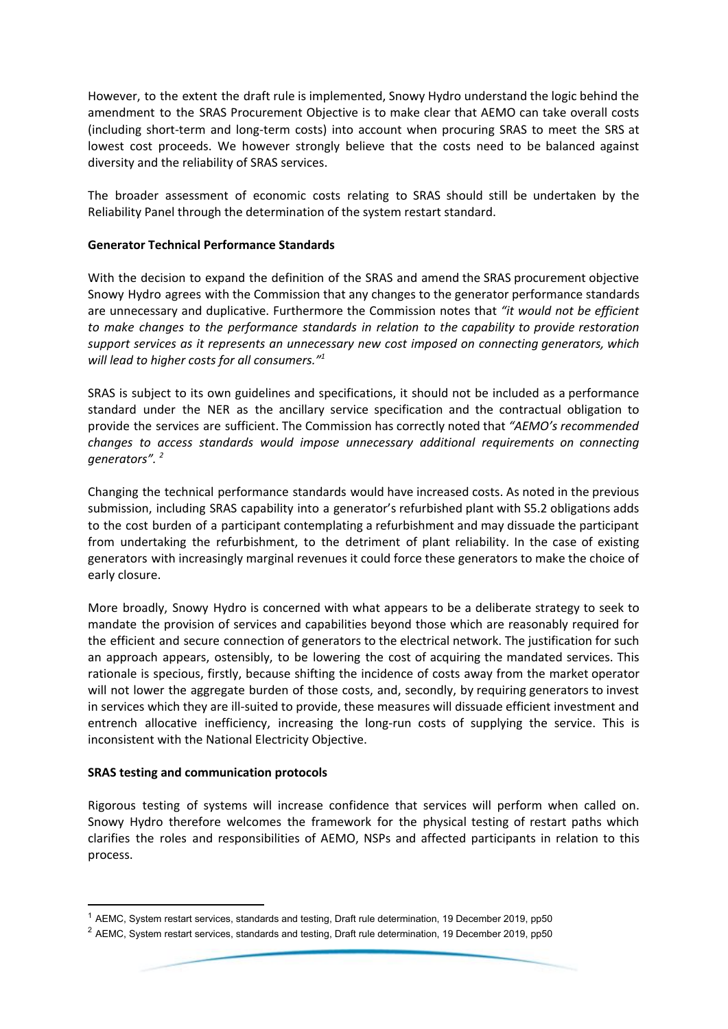However, to the extent the draft rule is implemented, Snowy Hydro understand the logic behind the amendment to the SRAS Procurement Objective is to make clear that AEMO can take overall costs (including short-term and long-term costs) into account when procuring SRAS to meet the SRS at lowest cost proceeds. We however strongly believe that the costs need to be balanced against diversity and the reliability of SRAS services.

The broader assessment of economic costs relating to SRAS should still be undertaken by the Reliability Panel through the determination of the system restart standard.

## **Generator Technical Performance Standards**

With the decision to expand the definition of the SRAS and amend the SRAS procurement objective Snowy Hydro agrees with the Commission that any changes to the generator performance standards are unnecessary and duplicative. Furthermore the Commission notes that *"it would not be efficient to make changes to the performance standards in relation to the capability to provide restoration support services as it represents an unnecessary new cost imposed on connecting generators, which will lead to higher costs for all consumers." 1*

SRAS is subject to its own guidelines and specifications, it should not be included as a performance standard under the NER as the ancillary service specification and the contractual obligation to provide the services are sufficient. The Commission has correctly noted that *"AEMO's recommended changes to access standards would impose unnecessary additional requirements on connecting generators". 2*

Changing the technical performance standards would have increased costs. As noted in the previous submission, including SRAS capability into a generator's refurbished plant with S5.2 obligations adds to the cost burden of a participant contemplating a refurbishment and may dissuade the participant from undertaking the refurbishment, to the detriment of plant reliability. In the case of existing generators with increasingly marginal revenues it could force these generators to make the choice of early closure.

More broadly, Snowy Hydro is concerned with what appears to be a deliberate strategy to seek to mandate the provision of services and capabilities beyond those which are reasonably required for the efficient and secure connection of generators to the electrical network. The justification for such an approach appears, ostensibly, to be lowering the cost of acquiring the mandated services. This rationale is specious, firstly, because shifting the incidence of costs away from the market operator will not lower the aggregate burden of those costs, and, secondly, by requiring generators to invest in services which they are ill-suited to provide, these measures will dissuade efficient investment and entrench allocative inefficiency, increasing the long-run costs of supplying the service. This is inconsistent with the National Electricity Objective.

### **SRAS testing and communication protocols**

Rigorous testing of systems will increase confidence that services will perform when called on. Snowy Hydro therefore welcomes the framework for the physical testing of restart paths which clarifies the roles and responsibilities of AEMO, NSPs and affected participants in relation to this process.

 $<sup>1</sup>$  AEMC, System restart services, standards and testing, Draft rule determination, 19 December 2019, pp50</sup>

<sup>&</sup>lt;sup>2</sup> AEMC, System restart services, standards and testing, Draft rule determination, 19 December 2019, pp50